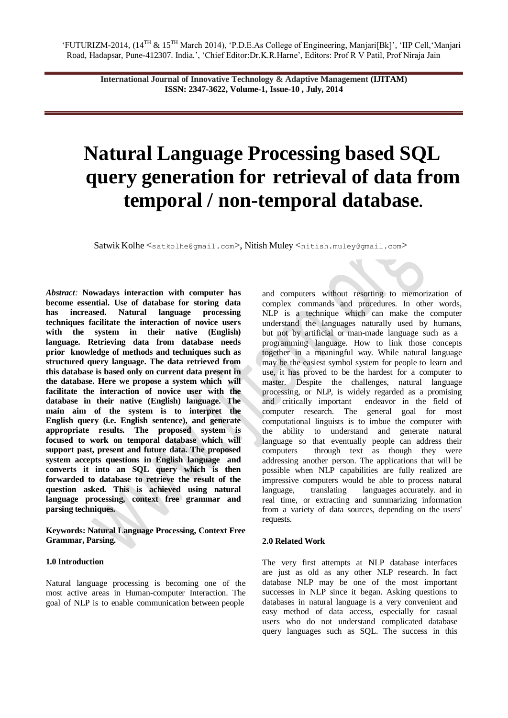**International Journal of Innovative Technology & Adaptive Management (IJITAM) ISSN: 2347-3622, Volume-1, Issue-10 , July, 2014**

# **Natural Language Processing based SQL query generation for retrieval of data from temporal / non-temporal database.**

Satwik Kolhe <[satkolhe@gmail.com](mailto:satkolhe@gmail.com)>, Nitish Muley <[nitish.muley@gmail.com](mailto:nitish.muley@gmail.com)>

*Abstract:* **Nowadays interaction with computer has become essential. Use of database for storing data has increased. Natural language processing techniques facilitate the interaction of novice users with the system in their native (English) language. Retrieving data from database needs prior knowledge of methods and techniques such as structured query language. The data retrieved from this database is based only on current data present in the database. Here we propose a system which will facilitate the interaction of novice user with the database in their native (English) language. The main aim of the system is to interpret the English query (i.e. English sentence), and generate appropriate results. The proposed system is focused to work on temporal database which will support past, present and future data. The proposed system accepts questions in English language and converts it into an SQL query which is then forwarded to database to retrieve the result of the question asked. This is achieved using natural language processing, context free grammar and parsing techniques.**

**Keywords: Natural Language Processing, Context Free Grammar, Parsing.**

#### **1.0 Introduction**

Natural language processing is becoming one of the most active areas in Human-computer Interaction. The goal of NLP is to enable communication between people

and computers without resorting to memorization of complex commands and procedures. In other words, NLP is a technique which can make the computer understand the languages naturally used by humans, but not by artificial or man-made language such as a programming language. How to link those concepts together in a meaningful way. While natural language may be the easiest symbol system for people to learn and use, it has proved to be the hardest for a computer to master. Despite the challenges, natural language processing, or NLP, is widely regarded as a promising and critically important endeavor in the field of computer research. The general goal for most computational linguists is to imbue the computer with the ability to understand and generate natural language so that eventually people can address their computers through text as though they were addressing another person. The applications that will be possible when NLP capabilities are fully realized are impressive computers would be able to process natural language, translating languages accurately. and in real time, or extracting and summarizing information from a variety of data sources, depending on the users' requests.

#### **2.0 Related Work**

The very first attempts at NLP database interfaces are just as old as any other NLP research. In fact database NLP may be one of the most important successes in NLP since it began. Asking questions to databases in natural language is a very convenient and easy method of data access, especially for casual users who do not understand complicated database query languages such as SQL. The success in this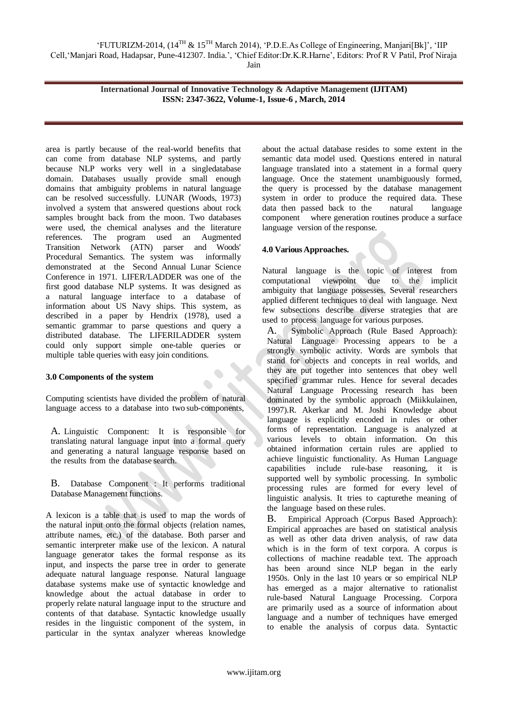"FUTURIZM-2014, (14TH & 15TH March 2014), "P.D.E.As College of Engineering, Manjari[Bk]", "IIP Cell,"Manjari Road, Hadapsar, Pune-412307. India.", "Chief Editor:Dr.K.R.Harne", Editors: Prof R V Patil, Prof Niraja Jain

**International Journal of Innovative Technology & Adaptive Management (IJITAM) ISSN: 2347-3622, Volume-1, Issue-6 , March, 2014**

area is partly because of the real-world benefits that can come from database NLP systems, and partly because NLP works very well in a singledatabase domain. Databases usually provide small enough domains that ambiguity problems in natural language can be resolved successfully. LUNAR (Woods, 1973) involved a system that answered questions about rock samples brought back from the moon. Two databases were used, the chemical analyses and the literature references. The program used an Augmented Transition Network (ATN) parser and Woods' Procedural Semantics. The system was informally demonstrated at the Second Annual Lunar Science Conference in 1971. LIFER/LADDER was one of the first good database NLP systems. It was designed as a natural language interface to a database of information about US Navy ships. This system, as described in a paper by Hendrix (1978), used a semantic grammar to parse questions and query a distributed database. The LIFERILADDER system could only support simple one-table queries or multiple table queries with easy join conditions.

## **3.0 Components of the system**

Computing scientists have divided the problem of natural language access to a database into two sub-components,

A. Linguistic Component: It is responsible for translating natural language input into a formal query and generating a natural language response based on the results from the database search.

B. Database Component : It performs traditional Database Management functions.

A lexicon is a table that is used to map the words of the natural input onto the formal objects (relation names, attribute names, etc.) of the database. Both parser and semantic interpreter make use of the lexicon. A natural language generator takes the formal response as its input, and inspects the parse tree in order to generate adequate natural language response. Natural language database systems make use of syntactic knowledge and knowledge about the actual database in order to properly relate natural language input to the structure and contents of that database. Syntactic knowledge usually resides in the linguistic component of the system, in particular in the syntax analyzer whereas knowledge

about the actual database resides to some extent in the semantic data model used. Questions entered in natural language translated into a statement in a formal query language. Once the statement unambiguously formed, the query is processed by the database management system in order to produce the required data. These data then passed back to the natural language component where generation routines produce a surface language version of the response.

# **4.0 Various Approaches.**

Natural language is the topic of interest from computational viewpoint due to the implicit ambiguity that language possesses. Several researchers applied different techniques to deal with language. Next few subsections describe diverse strategies that are used to process language for various purposes.

A. Symbolic Approach (Rule Based Approach): Natural Language Processing appears to be a strongly symbolic activity. Words are symbols that stand for objects and concepts in real worlds, and they are put together into sentences that obey well specified grammar rules. Hence for several decades Natural Language Processing research has been dominated by the symbolic approach (Miikkulainen, 1997).R. Akerkar and M. Joshi Knowledge about language is explicitly encoded in rules or other forms of representation. Language is analyzed at various levels to obtain information. On this obtained information certain rules are applied to achieve linguistic functionality. As Human Language capabilities include rule-base reasoning, it is supported well by symbolic processing. In symbolic processing rules are formed for every level of linguistic analysis. It tries to capturethe meaning of the language based on these rules.

B. Empirical Approach (Corpus Based Approach): Empirical approaches are based on statistical analysis as well as other data driven analysis, of raw data which is in the form of text corpora. A corpus is collections of machine readable text. The approach has been around since NLP began in the early 1950s. Only in the last 10 years or so empirical NLP has emerged as a major alternative to rationalist rule-based Natural Language Processing. Corpora are primarily used as a source of information about language and a number of techniques have emerged to enable the analysis of corpus data. Syntactic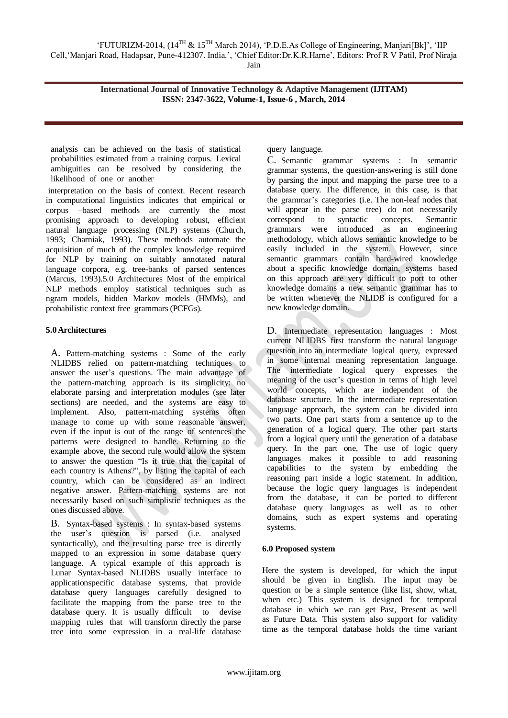**International Journal of Innovative Technology & Adaptive Management (IJITAM) ISSN: 2347-3622, Volume-1, Issue-6 , March, 2014**

analysis can be achieved on the basis of statistical probabilities estimated from a training corpus. Lexical ambiguities can be resolved by considering the likelihood of one or another

interpretation on the basis of context. Recent research in computational linguistics indicates that empirical or corpus –based methods are currently the most promising approach to developing robust, efficient natural language processing (NLP) systems (Church, 1993; Charniak, 1993). These methods automate the acquisition of much of the complex knowledge required for NLP by training on suitably annotated natural language corpora, e.g. tree-banks of parsed sentences (Marcus, 1993).5.0 Architectures Most of the empirical NLP methods employ statistical techniques such as ngram models, hidden Markov models (HMMs), and probabilistic context free grammars (PCFGs).

# **5.0Architectures**

A. Pattern-matching systems : Some of the early NLIDBS relied on pattern-matching techniques to answer the user's questions. The main advantage of the pattern-matching approach is its simplicity: no elaborate parsing and interpretation modules (see later sections) are needed, and the systems are easy to implement. Also, pattern-matching systems often manage to come up with some reasonable answer, even if the input is out of the range of sentences the patterns were designed to handle. Returning to the example above, the second rule would allow the system to answer the question "Is it true that the capital of each country is Athens?", by listing the capital of each country, which can be considered as an indirect negative answer. Pattern-matching systems are not necessarily based on such simplistic techniques as the ones discussed above.

B. Syntax-based systems : In syntax-based systems the user"s question is parsed (i.e. analysed syntactically), and the resulting parse tree is directly mapped to an expression in some database query language. A typical example of this approach is Lunar Syntax-based NLIDBS usually interface to applicationspecific database systems, that provide database query languages carefully designed to facilitate the mapping from the parse tree to the database query. It is usually difficult to devise mapping rules that will transform directly the parse tree into some expression in a real-life database

query language.

C. Semantic grammar systems : In semantic grammar systems, the question-answering is still done by parsing the input and mapping the parse tree to a database query. The difference, in this case, is that the grammar"s categories (i.e. The non-leaf nodes that will appear in the parse tree) do not necessarily correspond to syntactic concepts. Semantic grammars were introduced as an engineering methodology, which allows semantic knowledge to be easily included in the system. However, since semantic grammars contain hard-wired knowledge about a specific knowledge domain, systems based on this approach are very difficult to port to other knowledge domains a new semantic grammar has to be written whenever the NLIDB is configured for a new knowledge domain.

D. Intermediate representation languages : Most current NLIDBS first transform the natural language question into an intermediate logical query, expressed in some internal meaning representation language. The intermediate logical query expresses the meaning of the user's question in terms of high level world concepts, which are independent of the database structure. In the intermediate representation language approach, the system can be divided into two parts. One part starts from a sentence up to the generation of a logical query. The other part starts from a logical query until the generation of a database query. In the part one, The use of logic query languages makes it possible to add reasoning capabilities to the system by embedding the reasoning part inside a logic statement. In addition, because the logic query languages is independent from the database, it can be ported to different database query languages as well as to other domains, such as expert systems and operating systems.

## **6.0 Proposed system**

Here the system is developed, for which the input should be given in English. The input may be question or be a simple sentence (like list, show, what, when etc.) This system is designed for temporal database in which we can get Past, Present as well as Future Data. This system also support for validity time as the temporal database holds the time variant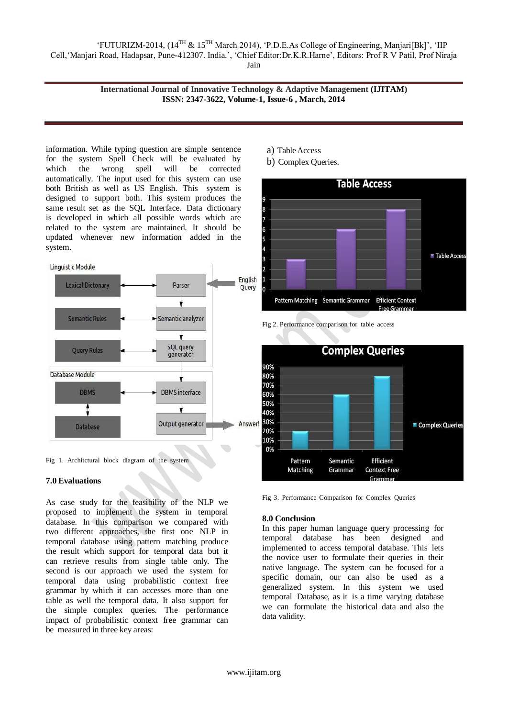"FUTURIZM-2014, (14TH & 15TH March 2014), "P.D.E.As College of Engineering, Manjari[Bk]", "IIP Cell,"Manjari Road, Hadapsar, Pune-412307. India.", "Chief Editor:Dr.K.R.Harne", Editors: Prof R V Patil, Prof Niraja Jain

## **International Journal of Innovative Technology & Adaptive Management (IJITAM) ISSN: 2347-3622, Volume-1, Issue-6 , March, 2014**

information. While typing question are simple sentence for the system Spell Check will be evaluated by which the wrong spell will be corrected automatically. The input used for this system can use both British as well as US English. This system is designed to support both. This system produces the same result set as the SQL Interface. Data dictionary is developed in which all possible words which are related to the system are maintained. It should be updated whenever new information added in the system.



Fig 1. Architctural block diagram of the system

#### **7.0 Evaluations**

As case study for the feasibility of the NLP we proposed to implement the system in temporal database. In this comparison we compared with two different approaches, the first one NLP in temporal database using pattern matching produce the result which support for temporal data but it can retrieve results from single table only. The second is our approach we used the system for temporal data using probabilistic context free grammar by which it can accesses more than one table as well the temporal data. It also support for the simple complex queries. The performance impact of probabilistic context free grammar can be measured in three key areas:

- a) TableAccess
- b) Complex Queries.





Fig 3. Performance Comparison for Complex Queries

#### **8.0 Conclusion**

In this paper human language query processing for temporal database has been designed and implemented to access temporal database. This lets the novice user to formulate their queries in their native language. The system can be focused for a specific domain, our can also be used as a generalized system. In this system we used temporal Database, as it is a time varying database we can formulate the historical data and also the data validity.